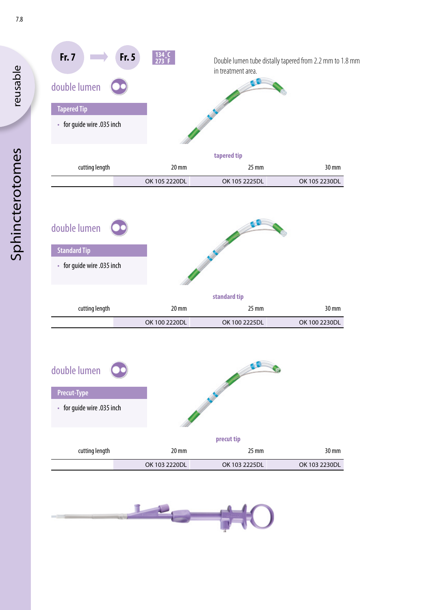

| for guide wire .035 inch |
|--------------------------|
|--------------------------|

|                   |                 | _____           |                |
|-------------------|-----------------|-----------------|----------------|
|                   |                 |                 |                |
| $30 \, \text{mm}$ | $25 \text{ mm}$ | $20 \text{ mm}$ | cutting length |
| OK 100 2230DL     | OK 100 2225DL   | OK 100 2220DL   |                |

| double lumen<br>ں۔         |                   |                 |               |  |  |
|----------------------------|-------------------|-----------------|---------------|--|--|
| <b>Precut-Type</b>         |                   |                 |               |  |  |
| • for guide wire .035 inch |                   |                 |               |  |  |
| precut tip                 |                   |                 |               |  |  |
| cutting length             | $20 \, \text{mm}$ | $25 \text{ mm}$ | 30 mm         |  |  |
|                            | OK 103 2220DL     | OK 103 2225DL   | OK 103 2230DL |  |  |



reusable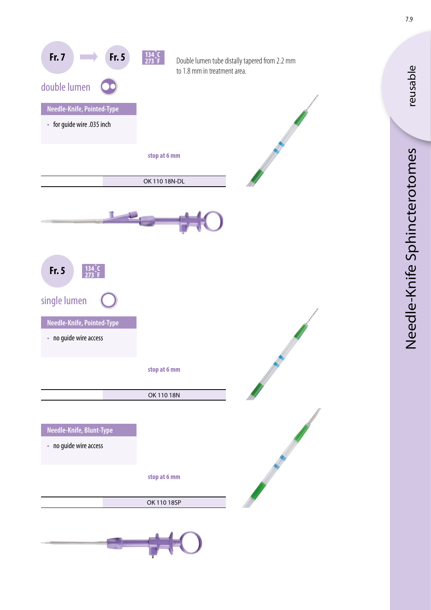

Needle-Knife Sphincterotomes Needle-Knife Sphincterotomes

reusable